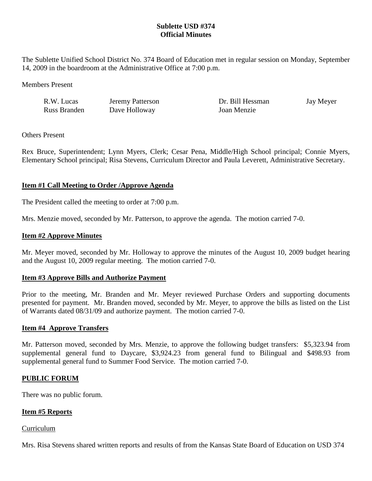# **Sublette USD #374 Official Minutes**

The Sublette Unified School District No. 374 Board of Education met in regular session on Monday, September 14, 2009 in the boardroom at the Administrative Office at 7:00 p.m.

Members Present

| R.W. Lucas   | Jeremy Patterson | Dr. Bill Hessman | Jay Meyer |
|--------------|------------------|------------------|-----------|
| Russ Branden | Dave Holloway    | Joan Menzie      |           |

# Others Present

Rex Bruce, Superintendent; Lynn Myers, Clerk; Cesar Pena, Middle/High School principal; Connie Myers, Elementary School principal; Risa Stevens, Curriculum Director and Paula Leverett, Administrative Secretary.

# **Item #1 Call Meeting to Order /Approve Agenda**

The President called the meeting to order at 7:00 p.m.

Mrs. Menzie moved, seconded by Mr. Patterson, to approve the agenda. The motion carried 7-0.

# **Item #2 Approve Minutes**

Mr. Meyer moved, seconded by Mr. Holloway to approve the minutes of the August 10, 2009 budget hearing and the August 10, 2009 regular meeting. The motion carried 7-0.

# **Item #3 Approve Bills and Authorize Payment**

Prior to the meeting, Mr. Branden and Mr. Meyer reviewed Purchase Orders and supporting documents presented for payment. Mr. Branden moved, seconded by Mr. Meyer, to approve the bills as listed on the List of Warrants dated 08/31/09 and authorize payment. The motion carried 7-0.

# **Item #4 Approve Transfers**

Mr. Patterson moved, seconded by Mrs. Menzie, to approve the following budget transfers: \$5,323.94 from supplemental general fund to Daycare, \$3,924.23 from general fund to Bilingual and \$498.93 from supplemental general fund to Summer Food Service. The motion carried 7-0.

# **PUBLIC FORUM**

There was no public forum.

# **Item #5 Reports**

#### Curriculum

Mrs. Risa Stevens shared written reports and results of from the Kansas State Board of Education on USD 374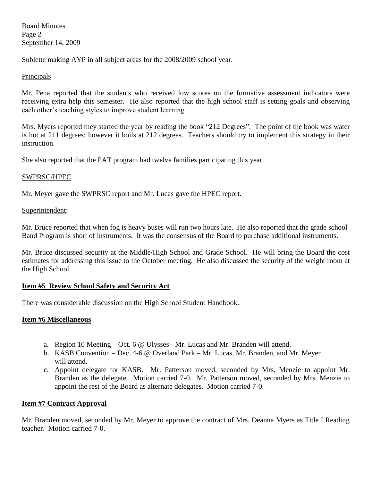Board Minutes Page 2 September 14, 2009

Sublette making AYP in all subject areas for the 2008/2009 school year.

# Principals

Mr. Pena reported that the students who received low scores on the formative assessment indicators were receiving extra help this semester. He also reported that the high school staff is setting goals and observing each other's teaching styles to improve student learning.

Mrs. Myers reported they started the year by reading the book "212 Degrees". The point of the book was water is hot at 211 degrees; however it boils at 212 degrees. Teachers should try to implement this strategy in their instruction.

She also reported that the PAT program had twelve families participating this year.

# SWPRSC/HPEC

Mr. Meyer gave the SWPRSC report and Mr. Lucas gave the HPEC report.

# Superintendent:

Mr. Bruce reported that when fog is heavy buses will run two hours late. He also reported that the grade school Band Program is short of instruments. It was the consensus of the Board to purchase additional instruments.

Mr. Bruce discussed security at the Middle/High School and Grade School. He will bring the Board the cost estimates for addressing this issue to the October meeting. He also discussed the security of the weight room at the High School.

# **Item #5 Review School Safety and Security Act**

There was considerable discussion on the High School Student Handbook.

# **Item #6 Miscellaneous**

- a. Region 10 Meeting Oct. 6  $\omega$  Ulysses Mr. Lucas and Mr. Branden will attend.
- b. KASB Convention Dec. 4-6 @ Overland Park Mr. Lucas, Mr. Branden, and Mr. Meyer will attend.
- c. Appoint delegate for KASB. Mr. Patterson moved, seconded by Mrs. Menzie to appoint Mr. Branden as the delegate. Motion carried 7-0. Mr. Patterson moved, seconded by Mrs. Menzie to appoint the rest of the Board as alternate delegates. Motion carried 7-0.

# **Item #7 Contract Approval**

Mr. Branden moved, seconded by Mr. Meyer to approve the contract of Mrs. Deanna Myers as Title I Reading teacher. Motion carried 7-0.